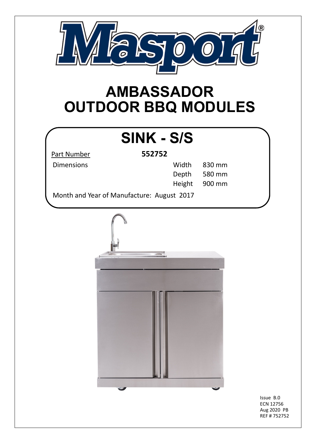

## **AMBASSADOR OUTDOOR BBQ MODULES**

## **SINK - S/S**

Part Number **552752**

| <b>Dimensions</b> | Width 830 mm  |
|-------------------|---------------|
|                   | Depth 580 mm  |
|                   | Height 900 mm |

Month and Year of Manufacture: August 2017



Issue B.0 ECN 12756 Aug 2020 PB REF # 752752